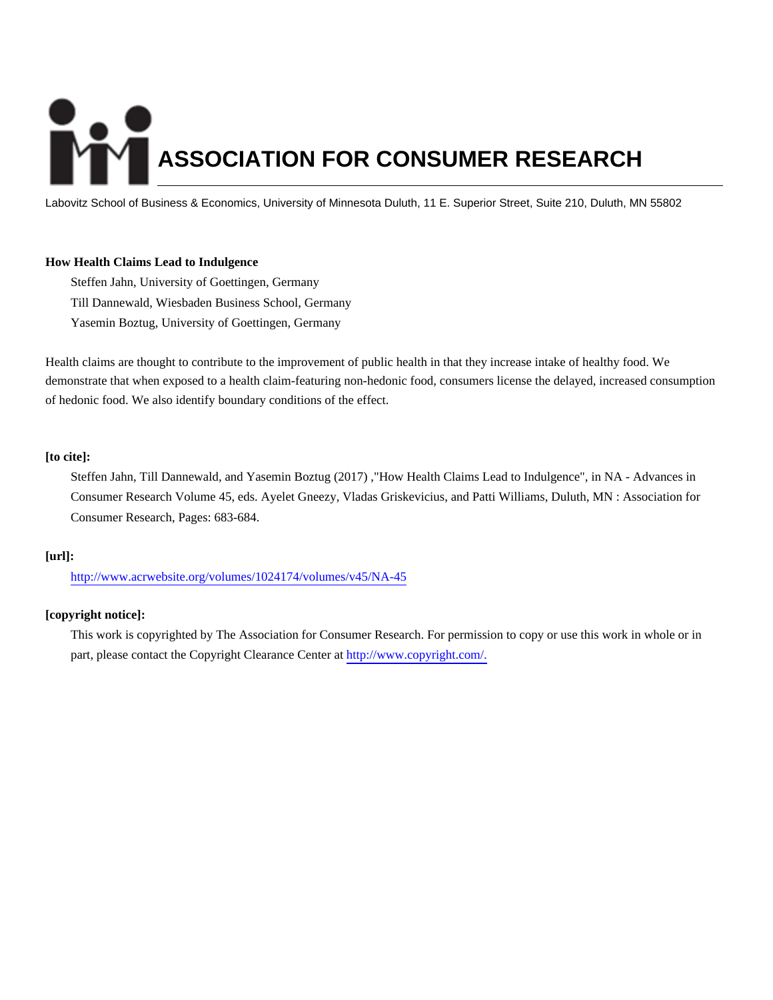# **ASSOCIATION FOR CONSUMER RESEARCH**

Labovitz School of Business & Economics, University of Minnesota Duluth, 11 E. Superior Street, Suite 210, Duluth, MN 55802

# **How Health Claims Lead to Indulgence**

Steffen Jahn, University of Goettingen, Germany Till Dannewald, Wiesbaden Business School, Germany Yasemin Boztug, University of Goettingen, Germany

Health claims are thought to contribute to the improvement of public health in that they increase intake of healthy food. We demonstrate that when exposed to a health claim-featuring non-hedonic food, consumers license the delayed, increased consumption of hedonic food. We also identify boundary conditions of the effect.

### **[to cite]:**

Steffen Jahn, Till Dannewald, and Yasemin Boztug (2017) ,"How Health Claims Lead to Indulgence", in NA - Advances in Consumer Research Volume 45, eds. Ayelet Gneezy, Vladas Griskevicius, and Patti Williams, Duluth, MN : Association for Consumer Research, Pages: 683-684.

# **[url]:**

<http://www.acrwebsite.org/volumes/1024174/volumes/v45/NA-45>

# **[copyright notice]:**

This work is copyrighted by The Association for Consumer Research. For permission to copy or use this work in whole or in part, please contact the Copyright Clearance Center at [http://www.copyright.com/.](http://www.copyright.com/)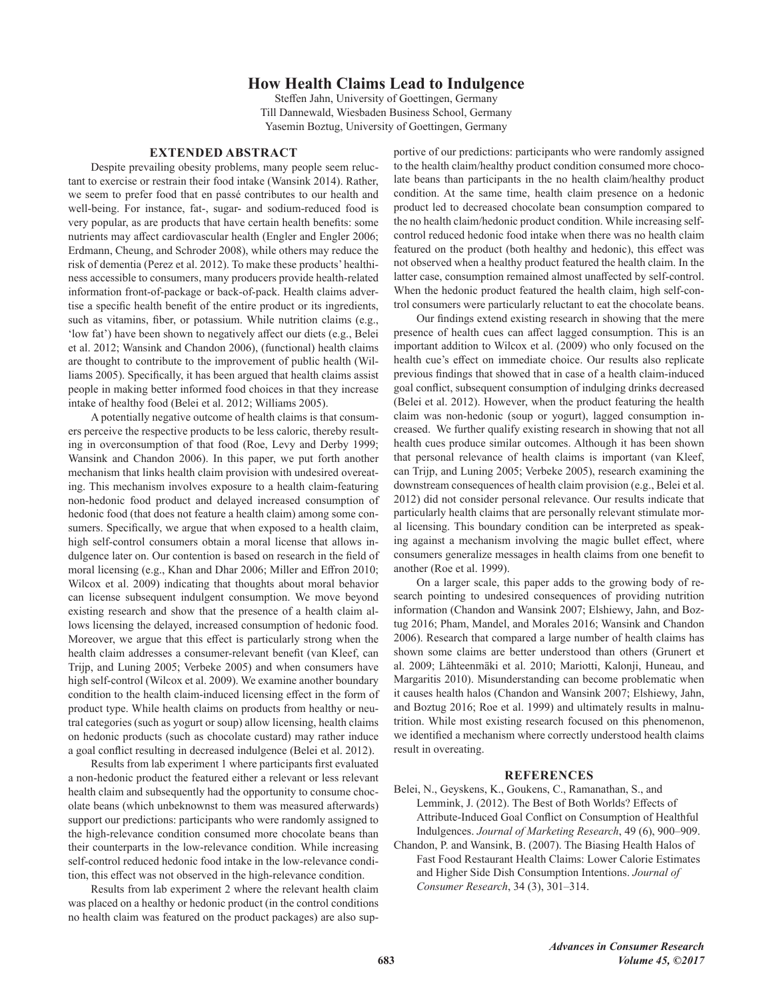# **How Health Claims Lead to Indulgence**

Steffen Jahn, University of Goettingen, Germany Till Dannewald, Wiesbaden Business School, Germany Yasemin Boztug, University of Goettingen, Germany

### **EXTENDED ABSTRACT**

Despite prevailing obesity problems, many people seem reluctant to exercise or restrain their food intake (Wansink 2014). Rather, we seem to prefer food that en passé contributes to our health and well-being. For instance, fat-, sugar- and sodium-reduced food is very popular, as are products that have certain health benefits: some nutrients may affect cardiovascular health (Engler and Engler 2006; Erdmann, Cheung, and Schroder 2008), while others may reduce the risk of dementia (Perez et al. 2012). To make these products' healthiness accessible to consumers, many producers provide health-related information front-of-package or back-of-pack. Health claims advertise a specific health benefit of the entire product or its ingredients, such as vitamins, fiber, or potassium. While nutrition claims (e.g., 'low fat') have been shown to negatively affect our diets (e.g., Belei et al. 2012; Wansink and Chandon 2006), (functional) health claims are thought to contribute to the improvement of public health (Williams 2005). Specifically, it has been argued that health claims assist people in making better informed food choices in that they increase intake of healthy food (Belei et al. 2012; Williams 2005).

A potentially negative outcome of health claims is that consumers perceive the respective products to be less caloric, thereby resulting in overconsumption of that food (Roe, Levy and Derby 1999; Wansink and Chandon 2006). In this paper, we put forth another mechanism that links health claim provision with undesired overeating. This mechanism involves exposure to a health claim-featuring non-hedonic food product and delayed increased consumption of hedonic food (that does not feature a health claim) among some consumers. Specifically, we argue that when exposed to a health claim, high self-control consumers obtain a moral license that allows indulgence later on. Our contention is based on research in the field of moral licensing (e.g., Khan and Dhar 2006; Miller and Effron 2010; Wilcox et al. 2009) indicating that thoughts about moral behavior can license subsequent indulgent consumption. We move beyond existing research and show that the presence of a health claim allows licensing the delayed, increased consumption of hedonic food. Moreover, we argue that this effect is particularly strong when the health claim addresses a consumer-relevant benefit (van Kleef, can Trijp, and Luning 2005; Verbeke 2005) and when consumers have high self-control (Wilcox et al. 2009). We examine another boundary condition to the health claim-induced licensing effect in the form of product type. While health claims on products from healthy or neutral categories (such as yogurt or soup) allow licensing, health claims on hedonic products (such as chocolate custard) may rather induce a goal conflict resulting in decreased indulgence (Belei et al. 2012).

Results from lab experiment 1 where participants first evaluated a non-hedonic product the featured either a relevant or less relevant health claim and subsequently had the opportunity to consume chocolate beans (which unbeknownst to them was measured afterwards) support our predictions: participants who were randomly assigned to the high-relevance condition consumed more chocolate beans than their counterparts in the low-relevance condition. While increasing self-control reduced hedonic food intake in the low-relevance condition, this effect was not observed in the high-relevance condition.

Results from lab experiment 2 where the relevant health claim was placed on a healthy or hedonic product (in the control conditions no health claim was featured on the product packages) are also supportive of our predictions: participants who were randomly assigned to the health claim/healthy product condition consumed more chocolate beans than participants in the no health claim/healthy product condition. At the same time, health claim presence on a hedonic product led to decreased chocolate bean consumption compared to the no health claim/hedonic product condition. While increasing selfcontrol reduced hedonic food intake when there was no health claim featured on the product (both healthy and hedonic), this effect was not observed when a healthy product featured the health claim. In the latter case, consumption remained almost unaffected by self-control. When the hedonic product featured the health claim, high self-control consumers were particularly reluctant to eat the chocolate beans.

Our findings extend existing research in showing that the mere presence of health cues can affect lagged consumption. This is an important addition to Wilcox et al. (2009) who only focused on the health cue's effect on immediate choice. Our results also replicate previous findings that showed that in case of a health claim-induced goal conflict, subsequent consumption of indulging drinks decreased (Belei et al. 2012). However, when the product featuring the health claim was non-hedonic (soup or yogurt), lagged consumption increased. We further qualify existing research in showing that not all health cues produce similar outcomes. Although it has been shown that personal relevance of health claims is important (van Kleef, can Trijp, and Luning 2005; Verbeke 2005), research examining the downstream consequences of health claim provision (e.g., Belei et al. 2012) did not consider personal relevance. Our results indicate that particularly health claims that are personally relevant stimulate moral licensing. This boundary condition can be interpreted as speaking against a mechanism involving the magic bullet effect, where consumers generalize messages in health claims from one benefit to another (Roe et al. 1999).

On a larger scale, this paper adds to the growing body of research pointing to undesired consequences of providing nutrition information (Chandon and Wansink 2007; Elshiewy, Jahn, and Boztug 2016; Pham, Mandel, and Morales 2016; Wansink and Chandon 2006). Research that compared a large number of health claims has shown some claims are better understood than others (Grunert et al. 2009; Lähteenmäki et al. 2010; Mariotti, Kalonji, Huneau, and Margaritis 2010). Misunderstanding can become problematic when it causes health halos (Chandon and Wansink 2007; Elshiewy, Jahn, and Boztug 2016; Roe et al. 1999) and ultimately results in malnutrition. While most existing research focused on this phenomenon, we identified a mechanism where correctly understood health claims result in overeating.

### **REFERENCES**

- Belei, N., Geyskens, K., Goukens, C., Ramanathan, S., and Lemmink, J. (2012). The Best of Both Worlds? Effects of Attribute-Induced Goal Conflict on Consumption of Healthful Indulgences. Journal of Marketing Research, 49 (6), 900-909.
- Chandon, P. and Wansink, B. (2007). The Biasing Health Halos of Fast Food Restaurant Health Claims: Lower Calorie Estimates and Higher Side Dish Consumption Intentions. Journal of Consumer Research, 34 (3), 301-314.